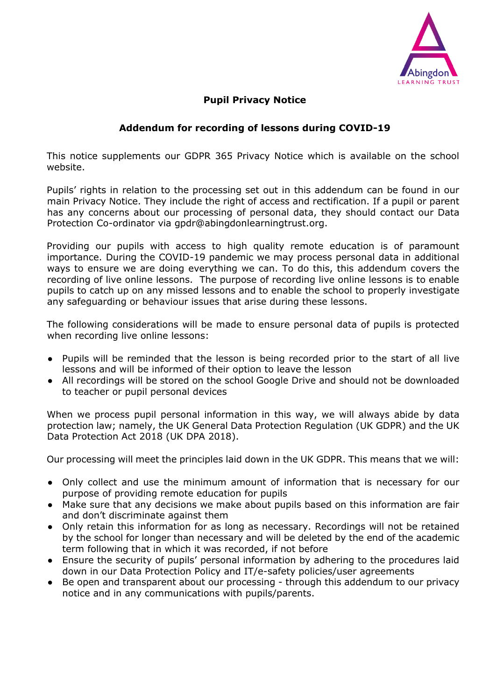

## **Pupil Privacy Notice**

## **Addendum for recording of lessons during COVID-19**

This notice supplements our GDPR 365 Privacy Notice which is available on the school website.

Pupils' rights in relation to the processing set out in this addendum can be found in our main Privacy Notice. They include the right of access and rectification. If a pupil or parent has any concerns about our processing of personal data, they should contact our Data Protection Co-ordinator via gpdr@abingdonlearningtrust.org.

Providing our pupils with access to high quality remote education is of paramount importance. During the COVID-19 pandemic we may process personal data in additional ways to ensure we are doing everything we can. To do this, this addendum covers the recording of live online lessons. The purpose of recording live online lessons is to enable pupils to catch up on any missed lessons and to enable the school to properly investigate any safeguarding or behaviour issues that arise during these lessons.

The following considerations will be made to ensure personal data of pupils is protected when recording live online lessons:

- Pupils will be reminded that the lesson is being recorded prior to the start of all live lessons and will be informed of their option to leave the lesson
- All recordings will be stored on the school Google Drive and should not be downloaded to teacher or pupil personal devices

When we process pupil personal information in this way, we will always abide by data protection law; namely, the UK General Data Protection Regulation (UK GDPR) and the UK Data Protection Act 2018 (UK DPA 2018).

Our processing will meet the principles laid down in the UK GDPR. This means that we will:

- Only collect and use the minimum amount of information that is necessary for our purpose of providing remote education for pupils
- Make sure that any decisions we make about pupils based on this information are fair and don't discriminate against them
- Only retain this information for as long as necessary. Recordings will not be retained by the school for longer than necessary and will be deleted by the end of the academic term following that in which it was recorded, if not before
- Ensure the security of pupils' personal information by adhering to the procedures laid down in our Data Protection Policy and IT/e-safety policies/user agreements
- Be open and transparent about our processing through this addendum to our privacy notice and in any communications with pupils/parents.